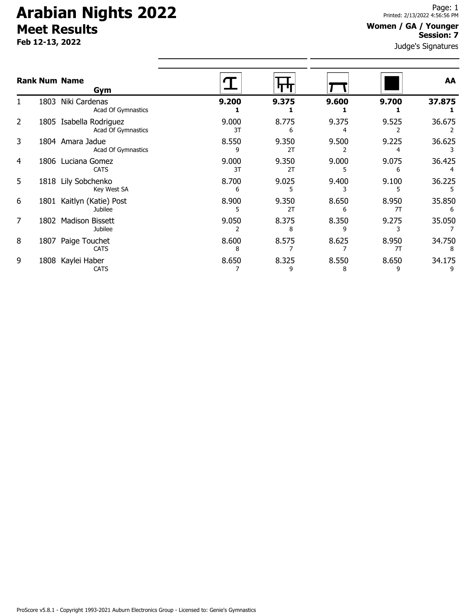# **Arabian Nights 2022 Meet Results**

**Feb 12-13, 2022**

### **Women / GA / Younger Session: 7**

Judge's Signatures

|                |      | <b>Rank Num Name</b><br>Gym                   |             |             |            |             | AA          |
|----------------|------|-----------------------------------------------|-------------|-------------|------------|-------------|-------------|
|                | 1803 | Niki Cardenas<br>Acad Of Gymnastics           | 9.200       | 9.375       | 9.600      | 9.700       | 37.875      |
| $\overline{2}$ |      | 1805 Isabella Rodriguez<br>Acad Of Gymnastics | 9.000<br>3T | 8.775<br>6  | 9.375      | 9.525       | 36.675      |
| 3              |      | 1804 Amara Jadue<br>Acad Of Gymnastics        | 8.550<br>q  | 9.350<br>2T | 9.500      | 9.225       | 36.625      |
| 4              | 1806 | Luciana Gomez<br><b>CATS</b>                  | 9.000<br>3T | 9.350<br>2T | 9.000      | 9.075<br>h  | 36.425      |
| 5              |      | 1818 Lily Sobchenko<br>Key West SA            | 8.700<br>6  | 9.025       | 9.400      | 9.100       | 36.225      |
| 6              | 1801 | Kaitlyn (Katie) Post<br>Jubilee               | 8.900<br>5  | 9.350<br>2T | 8.650<br>6 | 8.950<br>71 | 35.850<br>6 |
| 7              | 1802 | <b>Madison Bissett</b><br>Jubilee             | 9.050       | 8.375<br>8  | 8.350      | 9.275       | 35.050      |
| 8              | 1807 | Paige Touchet<br><b>CATS</b>                  | 8.600<br>8  | 8.575       | 8.625      | 8.950<br>7T | 34.750      |
| 9              | 1808 | Kaylei Haber<br><b>CATS</b>                   | 8.650       | 8.325<br>9  | 8.550<br>8 | 8.650<br>9  | 34.175      |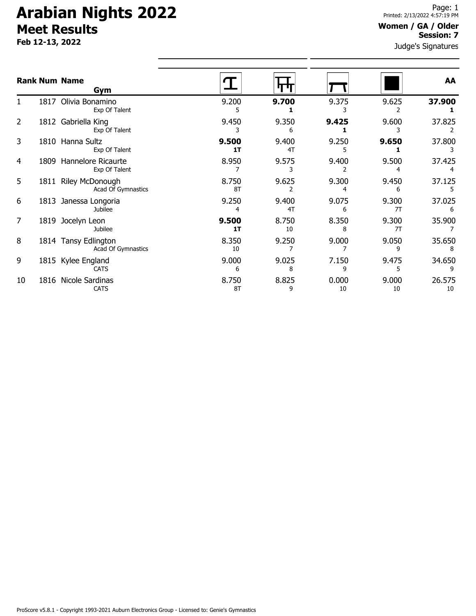# **Arabian Nights 2022 Meet Results**

**Feb 12-13, 2022**

#### **Women / GA / Older Session: 7**

Judge's Signatures

|    |      | <b>Rank Num Name</b><br>Gym                  |             |             |             |             | AA           |
|----|------|----------------------------------------------|-------------|-------------|-------------|-------------|--------------|
| 1. | 1817 | Olivia Bonamino<br>Exp Of Talent             | 9.200<br>5  | 9.700       | 9.375       | 9.625       | 37.900       |
| 2  |      | 1812 Gabriella King<br>Exp Of Talent         | 9.450       | 9.350<br>6  | 9.425       | 9.600       | 37.825       |
| 3  |      | 1810 Hanna Sultz<br>Exp Of Talent            | 9.500<br>1T | 9.400<br>4T | 9.250<br>5  | 9.650       | 37.800       |
| 4  |      | 1809 Hannelore Ricaurte<br>Exp Of Talent     | 8.950       | 9.575       | 9.400       | 9.500       | 37.425       |
| 5  | 1811 | <b>Riley McDonough</b><br>Acad Of Gymnastics | 8.750<br>8T | 9.625       | 9.300       | 9.450<br>6  | 37.125       |
| 6  |      | 1813 Janessa Longoria<br>Jubilee             | 9.250<br>4  | 9.400<br>4T | 9.075<br>6  | 9.300<br>7T | 37.025<br>6  |
| 7  |      | 1819 Jocelyn Leon<br><b>Jubilee</b>          | 9.500<br>1T | 8.750<br>10 | 8.350<br>8  | 9.300<br>7T | 35.900       |
| 8  |      | 1814 Tansy Edlington<br>Acad Of Gymnastics   | 8.350<br>10 | 9.250       | 9.000       | 9.050<br>9  | 35.650<br>8  |
| 9  |      | 1815 Kylee England<br><b>CATS</b>            | 9.000<br>6  | 9.025<br>8  | 7.150<br>q  | 9.475<br>5  | 34.650<br>9  |
| 10 |      | 1816 Nicole Sardinas<br><b>CATS</b>          | 8.750<br>8T | 8.825<br>9  | 0.000<br>10 | 9.000<br>10 | 26.575<br>10 |